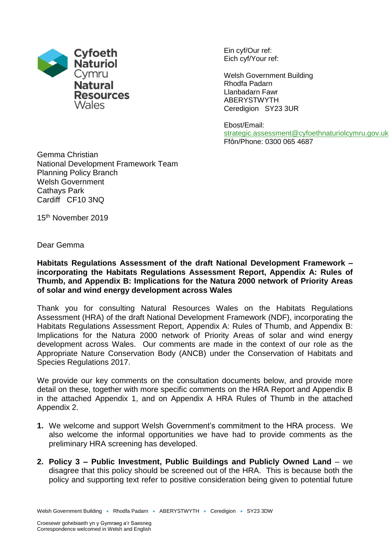

Ein cyf/Our ref: Eich cyf/Your ref:

Welsh Government Building Rhodfa Padarn Llanbadarn Fawr ABERYSTWYTH Ceredigion SY23 3UR

Ebost/Email: [strategic.assessment@cyfoethnaturiolcymru.gov.uk](mailto:strategic.assessment@cyfoethnaturiolcymru.gov.uk) Ffôn/Phone: 0300 065 4687

Gemma Christian National Development Framework Team Planning Policy Branch Welsh Government Cathays Park Cardiff CF10 3NQ

15 th November 2019

Dear Gemma

**Habitats Regulations Assessment of the draft National Development Framework – incorporating the Habitats Regulations Assessment Report, Appendix A: Rules of Thumb, and Appendix B: Implications for the Natura 2000 network of Priority Areas of solar and wind energy development across Wales**

Thank you for consulting Natural Resources Wales on the Habitats Regulations Assessment (HRA) of the draft National Development Framework (NDF), incorporating the Habitats Regulations Assessment Report, Appendix A: Rules of Thumb, and Appendix B: Implications for the Natura 2000 network of Priority Areas of solar and wind energy development across Wales. Our comments are made in the context of our role as the Appropriate Nature Conservation Body (ANCB) under the Conservation of Habitats and Species Regulations 2017.

We provide our key comments on the consultation documents below, and provide more detail on these, together with more specific comments on the HRA Report and Appendix B in the attached Appendix 1, and on Appendix A HRA Rules of Thumb in the attached Appendix 2.

- **1.** We welcome and support Welsh Government's commitment to the HRA process. We also welcome the informal opportunities we have had to provide comments as the preliminary HRA screening has developed.
- **2. Policy 3 – Public Investment, Public Buildings and Publicly Owned Land** we disagree that this policy should be screened out of the HRA. This is because both the policy and supporting text refer to positive consideration being given to potential future

Welsh Government Building • Rhodfa Padarn • ABERYSTWYTH • Ceredigion • SY23 3DW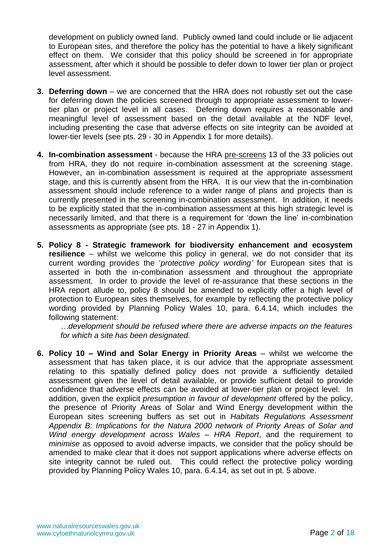development on publicly owned land. Publicly owned land could include or lie adjacent to European sites, and therefore the policy has the potential to have a likely significant effect on them. We consider that this policy should be screened in for appropriate assessment, after which it should be possible to defer down to lower tier plan or project level assessment.

- **3. Deferring down** we are concerned that the HRA does not robustly set out the case for deferring down the policies screened through to appropriate assessment to lowertier plan or project level in all cases. Deferring down requires a reasonable and meaningful level of assessment based on the detail available at the NDF level, including presenting the case that adverse effects on site integrity can be avoided at lower-tier levels (see pts. 29 - 30 in Appendix 1 for more details).
- **4. In-combination assessment** because the HRA pre-screens 13 of the 33 policies out from HRA, they do not require in-combination assessment at the screening stage. However, an in-combination assessment is required at the appropriate assessment stage, and this is currently absent from the HRA. It is our view that the in-combination assessment should include reference to a wider range of plans and projects than is currently presented in the screening in-combination assessment. In addition, it needs to be explicitly stated that the in-combination assessment at this high strategic level is necessarily limited, and that there is a requirement for 'down the line' in-combination assessments as appropriate (see pts. 18 - 27 in Appendix 1).
- **5. Policy 8 - Strategic framework for biodiversity enhancement and ecosystem resilience** – whilst we welcome this policy in general, we do not consider that its current wording provides the '*protective policy wording'* for European sites that is asserted in both the in-combination assessment and throughout the appropriate assessment. In order to provide the level of re-assurance that these sections in the HRA report allude to, policy 8 should be amended to explicitly offer a high level of protection to European sites themselves, for example by reflecting the protective policy wording provided by Planning Policy Wales 10, para. 6.4.14, which includes the following statement:

*…development should be refused where there are adverse impacts on the features for which a site has been designated.*

**6. Policy 10 – Wind and Solar Energy in Priority Areas** – whilst we welcome the assessment that has taken place, it is our advice that the appropriate assessment relating to this spatially defined policy does not provide a sufficiently detailed assessment given the level of detail available, or provide sufficient detail to provide confidence that adverse effects can be avoided at lower-tier plan or project level. In addition, given the explicit *presumption in favour of development* offered by the policy, the presence of Priority Areas of Solar and Wind Energy development within the European sites screening buffers as set out in *Habitats Regulations Assessment Appendix B: Implications for the Natura 2000 network of Priority Areas of Solar and Wind energy development across Wales – HRA Report*, and the requirement to *minimise* as opposed to avoid adverse impacts, we consider that the policy should be amended to make clear that it does not support applications where adverse effects on site integrity cannot be ruled out. This could reflect the protective policy wording provided by Planning Policy Wales 10, para. 6.4.14, as set out in pt. 5 above.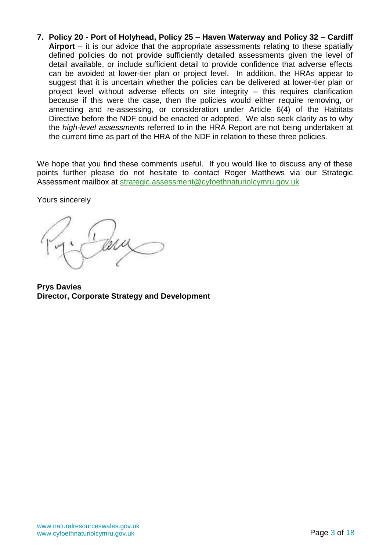**7. Policy 20 - Port of Holyhead, Policy 25 – Haven Waterway and Policy 32 – Cardiff Airport** – it is our advice that the appropriate assessments relating to these spatially defined policies do not provide sufficiently detailed assessments given the level of detail available, or include sufficient detail to provide confidence that adverse effects can be avoided at lower-tier plan or project level. In addition, the HRAs appear to suggest that it is uncertain whether the policies can be delivered at lower-tier plan or project level without adverse effects on site integrity – this requires clarification because if this were the case, then the policies would either require removing, or amending and re-assessing, or consideration under Article 6(4) of the Habitats Directive before the NDF could be enacted or adopted. We also seek clarity as to why the *high-level assessment*s referred to in the HRA Report are not being undertaken at the current time as part of the HRA of the NDF in relation to these three policies.

We hope that you find these comments useful. If you would like to discuss any of these points further please do not hesitate to contact Roger Matthews via our Strategic Assessment mailbox at [strategic.assessment@cyfoethnaturiolcymru.gov.uk](mailto:strategic.assessment@cyfoethnaturiolcymru.gov.uk)

Yours sincerely

**Prys Davies Director, Corporate Strategy and Development**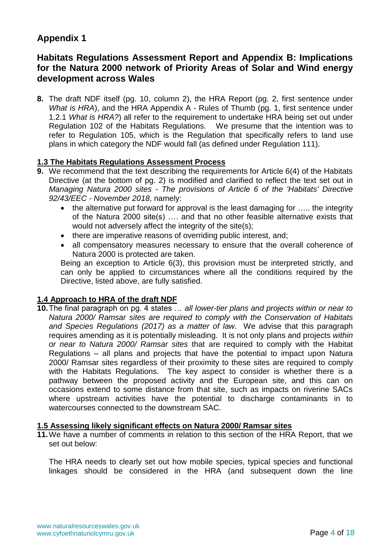# **Appendix 1**

## **Habitats Regulations Assessment Report and Appendix B: Implications for the Natura 2000 network of Priority Areas of Solar and Wind energy development across Wales**

**8.** The draft NDF itself (pg. 10, column 2), the HRA Report (pg. 2, first sentence under *What is HRA*), and the HRA Appendix A - Rules of Thumb (pg. 1, first sentence under 1.2.1 *What is HRA?*) all refer to the requirement to undertake HRA being set out under Regulation 102 of the Habitats Regulations. We presume that the intention was to refer to Regulation 105, which is the Regulation that specifically refers to land use plans in which category the NDF would fall (as defined under Regulation 111).

## **1.3 The Habitats Regulations Assessment Process**

- **9.** We recommend that the text describing the requirements for Article 6(4) of the Habitats Directive (at the bottom of pg. 2) is modified and clarified to reflect the text set out in *Managing Natura 2000 sites - The provisions of Article 6 of the 'Habitats' Directive 92/43/EEC - November 2018*, namely:
	- the alternative put forward for approval is the least damaging for ..... the integrity of the Natura 2000 site(s) …. and that no other feasible alternative exists that would not adversely affect the integrity of the site(s);
	- there are imperative reasons of overriding public interest, and;
	- all compensatory measures necessary to ensure that the overall coherence of Natura 2000 is protected are taken.

Being an exception to Article 6(3), this provision must be interpreted strictly, and can only be applied to circumstances where all the conditions required by the Directive, listed above, are fully satisfied.

## **1.4 Approach to HRA of the draft NDF**

**10.**The final paragraph on pg. 4 states … *all lower-tier plans and projects within or near to Natura 2000/ Ramsar sites are required to comply with the Conservation of Habitats and Species Regulations (2017) as a matter of law*. We advise that this paragraph requires amending as it is potentially misleading. It is not only plans and projects *within or near to Natura 2000/ Ramsar sites* that are required to comply with the Habitat Regulations – all plans and projects that have the potential to impact upon Natura 2000/ Ramsar sites regardless of their proximity to these sites are required to comply with the Habitats Regulations. The key aspect to consider is whether there is a pathway between the proposed activity and the European site, and this can on occasions extend to some distance from that site, such as impacts on riverine SACs where upstream activities have the potential to discharge contaminants in to watercourses connected to the downstream SAC.

## **1.5 Assessing likely significant effects on Natura 2000/ Ramsar sites**

**11.**We have a number of comments in relation to this section of the HRA Report, that we set out below:

The HRA needs to clearly set out how mobile species, typical species and functional linkages should be considered in the HRA (and subsequent down the line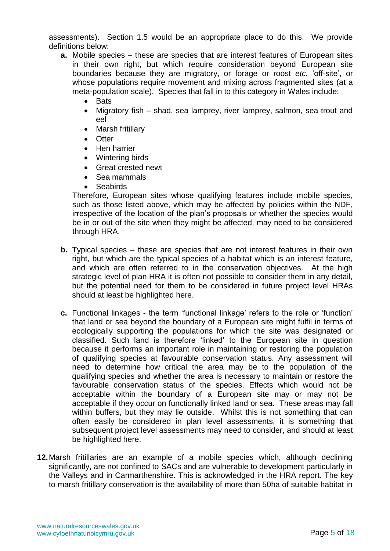assessments). Section 1.5 would be an appropriate place to do this. We provide definitions below:

- **a.** Mobile species these are species that are interest features of European sites in their own right, but which require consideration beyond European site boundaries because they are migratory, or forage or roost *etc.* 'off-site', or whose populations require movement and mixing across fragmented sites (at a meta-population scale). Species that fall in to this category in Wales include:
	- Bats
	- Migratory fish shad, sea lamprey, river lamprey, salmon, sea trout and eel
	- Marsh fritillary
	- Otter
	- Hen harrier
	- Wintering birds
	- Great crested newt
	- Sea mammals
	- Seabirds

Therefore, European sites whose qualifying features include mobile species, such as those listed above, which may be affected by policies within the NDF, irrespective of the location of the plan's proposals or whether the species would be in or out of the site when they might be affected, may need to be considered through HRA.

- **b.** Typical species these are species that are not interest features in their own right, but which are the typical species of a habitat which is an interest feature, and which are often referred to in the conservation objectives. At the high strategic level of plan HRA it is often not possible to consider them in any detail, but the potential need for them to be considered in future project level HRAs should at least be highlighted here.
- **c.** Functional linkages the term 'functional linkage' refers to the role or 'function' that land or sea beyond the boundary of a European site might fulfil in terms of ecologically supporting the populations for which the site was designated or classified. Such land is therefore 'linked' to the European site in question because it performs an important role in maintaining or restoring the population of qualifying species at favourable conservation status. Any assessment will need to determine how critical the area may be to the population of the qualifying species and whether the area is necessary to maintain or restore the favourable conservation status of the species. Effects which would not be acceptable within the boundary of a European site may or may not be acceptable if they occur on functionally linked land or sea. These areas may fall within buffers, but they may lie outside. Whilst this is not something that can often easily be considered in plan level assessments, it is something that subsequent project level assessments may need to consider, and should at least be highlighted here.
- **12.**Marsh fritillaries are an example of a mobile species which, although declining significantly, are not confined to SACs and are vulnerable to development particularly in the Valleys and in Carmarthenshire. This is acknowledged in the HRA report. The key to marsh fritillary conservation is the availability of more than 50ha of suitable habitat in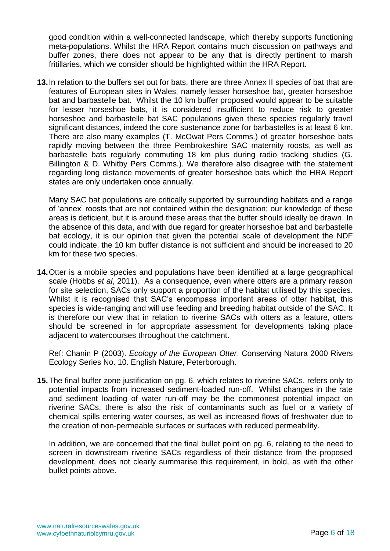good condition within a well-connected landscape, which thereby supports functioning meta-populations. Whilst the HRA Report contains much discussion on pathways and buffer zones, there does not appear to be any that is directly pertinent to marsh fritillaries, which we consider should be highlighted within the HRA Report.

**13.**In relation to the buffers set out for bats, there are three Annex II species of bat that are features of European sites in Wales, namely lesser horseshoe bat, greater horseshoe bat and barbastelle bat. Whilst the 10 km buffer proposed would appear to be suitable for lesser horseshoe bats, it is considered insufficient to reduce risk to greater horseshoe and barbastelle bat SAC populations given these species regularly travel significant distances, indeed the core sustenance zone for barbastelles is at least 6 km. There are also many examples (T. McOwat Pers Comms.) of greater horseshoe bats rapidly moving between the three Pembrokeshire SAC maternity roosts, as well as barbastelle bats regularly commuting 18 km plus during radio tracking studies (G. Billington & D. Whitby Pers Comms.). We therefore also disagree with the statement regarding long distance movements of greater horseshoe bats which the HRA Report states are only undertaken once annually.

Many SAC bat populations are critically supported by surrounding habitats and a range of 'annex' roosts that are not contained within the designation; our knowledge of these areas is deficient, but it is around these areas that the buffer should ideally be drawn. In the absence of this data, and with due regard for greater horseshoe bat and barbastelle bat ecology, it is our opinion that given the potential scale of development the NDF could indicate, the 10 km buffer distance is not sufficient and should be increased to 20 km for these two species.

**14.**Otter is a mobile species and populations have been identified at a large geographical scale (Hobbs *et al*, 2011). As a consequence, even where otters are a primary reason for site selection, SACs only support a proportion of the habitat utilised by this species. Whilst it is recognised that SAC's encompass important areas of otter habitat, this species is wide-ranging and will use feeding and breeding habitat outside of the SAC. It is therefore our view that in relation to riverine SACs with otters as a feature, otters should be screened in for appropriate assessment for developments taking place adjacent to watercourses throughout the catchment.

Ref: Chanin P (2003). *Ecology of the European Otter*. Conserving Natura 2000 Rivers Ecology Series No. 10. English Nature, Peterborough.

**15.**The final buffer zone justification on pg. 6, which relates to riverine SACs, refers only to potential impacts from increased sediment-loaded run-off. Whilst changes in the rate and sediment loading of water run-off may be the commonest potential impact on riverine SACs, there is also the risk of contaminants such as fuel or a variety of chemical spills entering water courses, as well as increased flows of freshwater due to the creation of non-permeable surfaces or surfaces with reduced permeability.

In addition, we are concerned that the final bullet point on pg. 6, relating to the need to screen in downstream riverine SACs regardless of their distance from the proposed development, does not clearly summarise this requirement, in bold, as with the other bullet points above.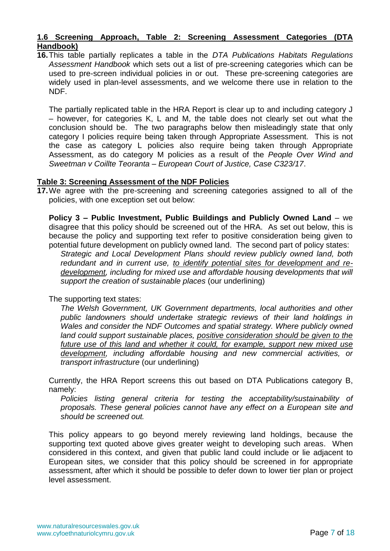## **1.6 Screening Approach, Table 2: Screening Assessment Categories (DTA Handbook)**

**16.**This table partially replicates a table in the *DTA Publications Habitats Regulations Assessment Handbook* which sets out a list of pre-screening categories which can be used to pre-screen individual policies in or out. These pre-screening categories are widely used in plan-level assessments, and we welcome there use in relation to the NDF.

The partially replicated table in the HRA Report is clear up to and including category J – however, for categories K, L and M, the table does not clearly set out what the conclusion should be. The two paragraphs below then misleadingly state that only category I policies require being taken through Appropriate Assessment. This is not the case as category L policies also require being taken through Appropriate Assessment, as do category M policies as a result of the *People Over Wind and Sweetman v Coillte Teoranta – European Court of Justice, Case C323/17*.

## **Table 3: Screening Assessment of the NDF Policies**

**17.**We agree with the pre-screening and screening categories assigned to all of the policies, with one exception set out below:

**Policy 3 – Public Investment, Public Buildings and Publicly Owned Land** – we disagree that this policy should be screened out of the HRA. As set out below, this is because the policy and supporting text refer to positive consideration being given to potential future development on publicly owned land. The second part of policy states:

*Strategic and Local Development Plans should review publicly owned land, both redundant and in current use, to identify potential sites for development and redevelopment, including for mixed use and affordable housing developments that will support the creation of sustainable places* (our underlining)

The supporting text states:

*The Welsh Government, UK Government departments, local authorities and other public landowners should undertake strategic reviews of their land holdings in Wales and consider the NDF Outcomes and spatial strategy. Where publicly owned land could support sustainable places, positive consideration should be given to the future use of this land and whether it could, for example, support new mixed use development, including affordable housing and new commercial activities, or transport infrastructure* (our underlining)

Currently, the HRA Report screens this out based on DTA Publications category B, namely:

*Policies listing general criteria for testing the acceptability/sustainability of proposals. These general policies cannot have any effect on a European site and should be screened out.*

This policy appears to go beyond merely reviewing land holdings, because the supporting text quoted above gives greater weight to developing such areas. When considered in this context, and given that public land could include or lie adjacent to European sites, we consider that this policy should be screened in for appropriate assessment, after which it should be possible to defer down to lower tier plan or project level assessment.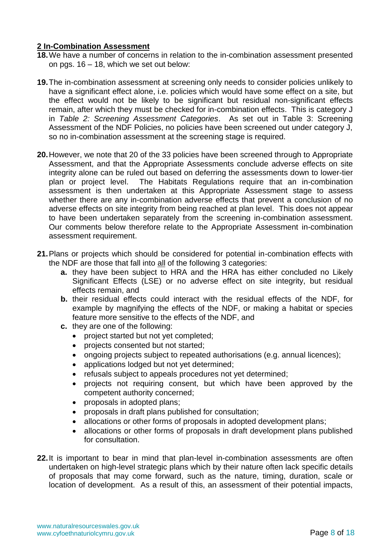## **2 In-Combination Assessment**

- **18.**We have a number of concerns in relation to the in-combination assessment presented on pgs. 16 – 18, which we set out below:
- **19.**The in-combination assessment at screening only needs to consider policies unlikely to have a significant effect alone, i.e. policies which would have some effect on a site, but the effect would not be likely to be significant but residual non-significant effects remain, after which they must be checked for in-combination effects. This is category J in *Table 2: Screening Assessment Categories*. As set out in Table 3: Screening Assessment of the NDF Policies, no policies have been screened out under category J, so no in-combination assessment at the screening stage is required.
- **20.**However, we note that 20 of the 33 policies have been screened through to Appropriate Assessment, and that the Appropriate Assessments conclude adverse effects on site integrity alone can be ruled out based on deferring the assessments down to lower-tier plan or project level. The Habitats Regulations require that an in-combination assessment is then undertaken at this Appropriate Assessment stage to assess whether there are any in-combination adverse effects that prevent a conclusion of no adverse effects on site integrity from being reached at plan level. This does not appear to have been undertaken separately from the screening in-combination assessment. Our comments below therefore relate to the Appropriate Assessment in-combination assessment requirement.
- **21.**Plans or projects which should be considered for potential in-combination effects with the NDF are those that fall into all of the following 3 categories:
	- **a.** they have been subject to HRA and the HRA has either concluded no Likely Significant Effects (LSE) or no adverse effect on site integrity, but residual effects remain, and
	- **b.** their residual effects could interact with the residual effects of the NDF, for example by magnifying the effects of the NDF, or making a habitat or species feature more sensitive to the effects of the NDF, and
	- **c.** they are one of the following:
		- project started but not yet completed;
		- projects consented but not started;
		- ongoing projects subject to repeated authorisations (e.g. annual licences);
		- applications lodged but not yet determined;
		- refusals subject to appeals procedures not yet determined;
		- projects not requiring consent, but which have been approved by the competent authority concerned;
		- proposals in adopted plans;
		- proposals in draft plans published for consultation;
		- allocations or other forms of proposals in adopted development plans;
		- allocations or other forms of proposals in draft development plans published for consultation.
- **22.**It is important to bear in mind that plan-level in-combination assessments are often undertaken on high-level strategic plans which by their nature often lack specific details of proposals that may come forward, such as the nature, timing, duration, scale or location of development. As a result of this, an assessment of their potential impacts,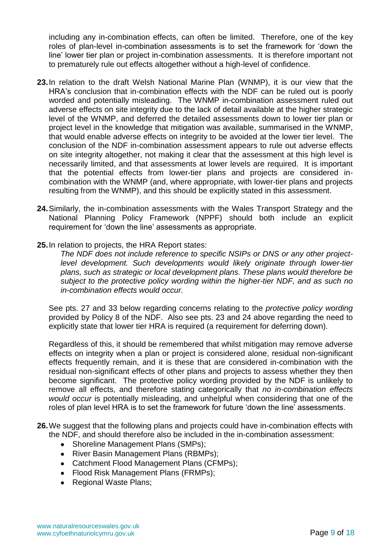including any in-combination effects, can often be limited. Therefore, one of the key roles of plan-level in-combination assessments is to set the framework for 'down the line' lower tier plan or project in-combination assessments. It is therefore important not to prematurely rule out effects altogether without a high-level of confidence.

- **23.**In relation to the draft Welsh National Marine Plan (WNMP), it is our view that the HRA's conclusion that in-combination effects with the NDF can be ruled out is poorly worded and potentially misleading. The WNMP in-combination assessment ruled out adverse effects on site integrity due to the lack of detail available at the higher strategic level of the WNMP, and deferred the detailed assessments down to lower tier plan or project level in the knowledge that mitigation was available, summarised in the WNMP, that would enable adverse effects on integrity to be avoided at the lower tier level. The conclusion of the NDF in-combination assessment appears to rule out adverse effects on site integrity altogether, not making it clear that the assessment at this high level is necessarily limited, and that assessments at lower levels are required. It is important that the potential effects from lower-tier plans and projects are considered incombination with the WNMP (and, where appropriate, with lower-tier plans and projects resulting from the WNMP), and this should be explicitly stated in this assessment.
- **24.**Similarly, the in-combination assessments with the Wales Transport Strategy and the National Planning Policy Framework (NPPF) should both include an explicit requirement for 'down the line' assessments as appropriate.
- **25.**In relation to projects, the HRA Report states:

*The NDF does not include reference to specific NSIPs or DNS or any other project*level development. Such developments would likely originate through lower-tier *plans, such as strategic or local development plans. These plans would therefore be subject to the protective policy wording within the higher-tier NDF, and as such no in-combination effects would occur.*

See pts. 27 and 33 below regarding concerns relating to the *protective policy wording* provided by Policy 8 of the NDF. Also see pts. 23 and 24 above regarding the need to explicitly state that lower tier HRA is required (a requirement for deferring down).

Regardless of this, it should be remembered that whilst mitigation may remove adverse effects on integrity when a plan or project is considered alone, residual non-significant effects frequently remain, and it is these that are considered in-combination with the residual non-significant effects of other plans and projects to assess whether they then become significant. The protective policy wording provided by the NDF is unlikely to remove all effects, and therefore stating categorically that *no in-combination effects would occur* is potentially misleading, and unhelpful when considering that one of the roles of plan level HRA is to set the framework for future 'down the line' assessments.

- **26.**We suggest that the following plans and projects could have in-combination effects with the NDF, and should therefore also be included in the in-combination assessment:
	- Shoreline Management Plans (SMPs);
	- River Basin Management Plans (RBMPs);
	- Catchment Flood Management Plans (CFMPs);
	- Flood Risk Management Plans (FRMPs);
	- Regional Waste Plans;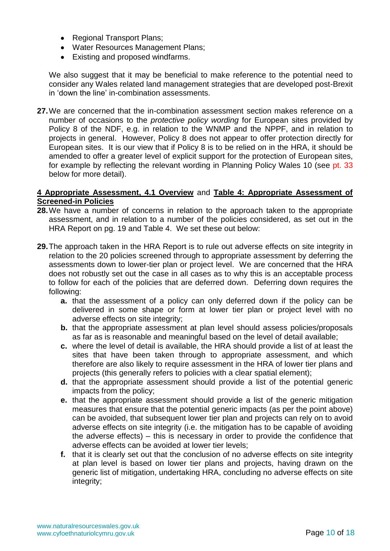- Regional Transport Plans;
- Water Resources Management Plans;
- Existing and proposed windfarms.

We also suggest that it may be beneficial to make reference to the potential need to consider any Wales related land management strategies that are developed post-Brexit in 'down the line' in-combination assessments.

**27.**We are concerned that the in-combination assessment section makes reference on a number of occasions to the *protective policy wording* for European sites provided by Policy 8 of the NDF, e.g. in relation to the WNMP and the NPPF, and in relation to projects in general. However, Policy 8 does not appear to offer protection directly for European sites. It is our view that if Policy 8 is to be relied on in the HRA, it should be amended to offer a greater level of explicit support for the protection of European sites, for example by reflecting the relevant wording in Planning Policy Wales 10 (see pt. 33 below for more detail).

#### **4 Appropriate Assessment, 4.1 Overview** and **Table 4: Appropriate Assessment of Screened-in Policies**

- **28.**We have a number of concerns in relation to the approach taken to the appropriate assessment, and in relation to a number of the policies considered, as set out in the HRA Report on pg. 19 and Table 4. We set these out below:
- **29.**The approach taken in the HRA Report is to rule out adverse effects on site integrity in relation to the 20 policies screened through to appropriate assessment by deferring the assessments down to lower-tier plan or project level. We are concerned that the HRA does not robustly set out the case in all cases as to why this is an acceptable process to follow for each of the policies that are deferred down. Deferring down requires the following:
	- **a.** that the assessment of a policy can only deferred down if the policy can be delivered in some shape or form at lower tier plan or project level with no adverse effects on site integrity;
	- **b.** that the appropriate assessment at plan level should assess policies/proposals as far as is reasonable and meaningful based on the level of detail available;
	- **c.** where the level of detail is available, the HRA should provide a list of at least the sites that have been taken through to appropriate assessment, and which therefore are also likely to require assessment in the HRA of lower tier plans and projects (this generally refers to policies with a clear spatial element);
	- **d.** that the appropriate assessment should provide a list of the potential generic impacts from the policy;
	- **e.** that the appropriate assessment should provide a list of the generic mitigation measures that ensure that the potential generic impacts (as per the point above) can be avoided, that subsequent lower tier plan and projects can rely on to avoid adverse effects on site integrity (i.e. the mitigation has to be capable of avoiding the adverse effects) – this is necessary in order to provide the confidence that adverse effects can be avoided at lower tier levels;
	- **f.** that it is clearly set out that the conclusion of no adverse effects on site integrity at plan level is based on lower tier plans and projects, having drawn on the generic list of mitigation, undertaking HRA, concluding no adverse effects on site integrity;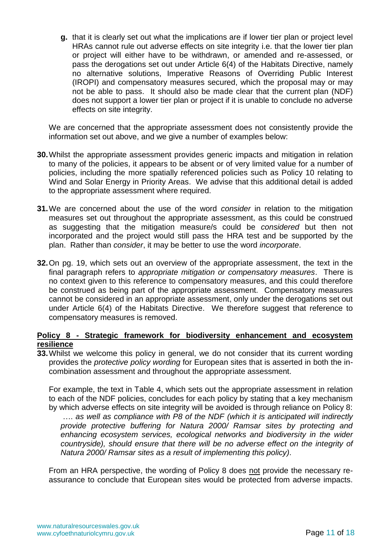**g.** that it is clearly set out what the implications are if lower tier plan or project level HRAs cannot rule out adverse effects on site integrity i.e. that the lower tier plan or project will either have to be withdrawn, or amended and re-assessed, or pass the derogations set out under Article 6(4) of the Habitats Directive, namely no alternative solutions, Imperative Reasons of Overriding Public Interest (IROPI) and compensatory measures secured, which the proposal may or may not be able to pass. It should also be made clear that the current plan (NDF) does not support a lower tier plan or project if it is unable to conclude no adverse effects on site integrity.

We are concerned that the appropriate assessment does not consistently provide the information set out above, and we give a number of examples below:

- **30.**Whilst the appropriate assessment provides generic impacts and mitigation in relation to many of the policies, it appears to be absent or of very limited value for a number of policies, including the more spatially referenced policies such as Policy 10 relating to Wind and Solar Energy in Priority Areas. We advise that this additional detail is added to the appropriate assessment where required.
- **31.**We are concerned about the use of the word *consider* in relation to the mitigation measures set out throughout the appropriate assessment, as this could be construed as suggesting that the mitigation measure/s could be *considered* but then not incorporated and the project would still pass the HRA test and be supported by the plan. Rather than *consider*, it may be better to use the word *incorporate*.
- **32.**On pg. 19, which sets out an overview of the appropriate assessment, the text in the final paragraph refers to *appropriate mitigation or compensatory measures*. There is no context given to this reference to compensatory measures, and this could therefore be construed as being part of the appropriate assessment. Compensatory measures cannot be considered in an appropriate assessment, only under the derogations set out under Article 6(4) of the Habitats Directive. We therefore suggest that reference to compensatory measures is removed.

## **Policy 8 - Strategic framework for biodiversity enhancement and ecosystem resilience**

**33.**Whilst we welcome this policy in general, we do not consider that its current wording provides the *protective policy wording* for European sites that is asserted in both the incombination assessment and throughout the appropriate assessment.

For example, the text in Table 4, which sets out the appropriate assessment in relation to each of the NDF policies, concludes for each policy by stating that a key mechanism by which adverse effects on site integrity will be avoided is through reliance on Policy 8:

…. *as well as compliance with P8 of the NDF (which it is anticipated will indirectly provide protective buffering for Natura 2000/ Ramsar sites by protecting and enhancing ecosystem services, ecological networks and biodiversity in the wider countryside), should ensure that there will be no adverse effect on the integrity of Natura 2000/ Ramsar sites as a result of implementing this policy)*.

From an HRA perspective, the wording of Policy 8 does not provide the necessary reassurance to conclude that European sites would be protected from adverse impacts.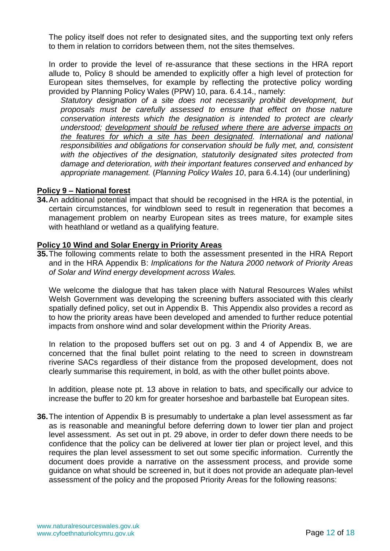The policy itself does not refer to designated sites, and the supporting text only refers to them in relation to corridors between them, not the sites themselves.

In order to provide the level of re-assurance that these sections in the HRA report allude to, Policy 8 should be amended to explicitly offer a high level of protection for European sites themselves, for example by reflecting the protective policy wording provided by Planning Policy Wales (PPW) 10, para. 6.4.14., namely:

*Statutory designation of a site does not necessarily prohibit development, but proposals must be carefully assessed to ensure that effect on those nature conservation interests which the designation is intended to protect are clearly understood; development should be refused where there are adverse impacts on the features for which a site has been designated. International and national responsibilities and obligations for conservation should be fully met, and, consistent with the objectives of the designation, statutorily designated sites protected from damage and deterioration, with their important features conserved and enhanced by appropriate management.* (*Planning Policy Wales 10*, para 6.4.14) (our underlining)

## **Policy 9 – National forest**

**34.**An additional potential impact that should be recognised in the HRA is the potential, in certain circumstances, for windblown seed to result in regeneration that becomes a management problem on nearby European sites as trees mature, for example sites with heathland or wetland as a qualifying feature.

#### **Policy 10 Wind and Solar Energy in Priority Areas**

**35.**The following comments relate to both the assessment presented in the HRA Report and in the HRA Appendix B: *Implications for the Natura 2000 network of Priority Areas of Solar and Wind energy development across Wales.*

We welcome the dialogue that has taken place with Natural Resources Wales whilst Welsh Government was developing the screening buffers associated with this clearly spatially defined policy, set out in Appendix B. This Appendix also provides a record as to how the priority areas have been developed and amended to further reduce potential impacts from onshore wind and solar development within the Priority Areas.

In relation to the proposed buffers set out on pg. 3 and 4 of Appendix B, we are concerned that the final bullet point relating to the need to screen in downstream riverine SACs regardless of their distance from the proposed development, does not clearly summarise this requirement, in bold, as with the other bullet points above.

In addition, please note pt. 13 above in relation to bats, and specifically our advice to increase the buffer to 20 km for greater horseshoe and barbastelle bat European sites.

**36.** The intention of Appendix B is presumably to undertake a plan level assessment as far as is reasonable and meaningful before deferring down to lower tier plan and project level assessment. As set out in pt. 29 above, in order to defer down there needs to be confidence that the policy can be delivered at lower tier plan or project level, and this requires the plan level assessment to set out some specific information. Currently the document does provide a narrative on the assessment process, and provide some guidance on what should be screened in, but it does not provide an adequate plan-level assessment of the policy and the proposed Priority Areas for the following reasons: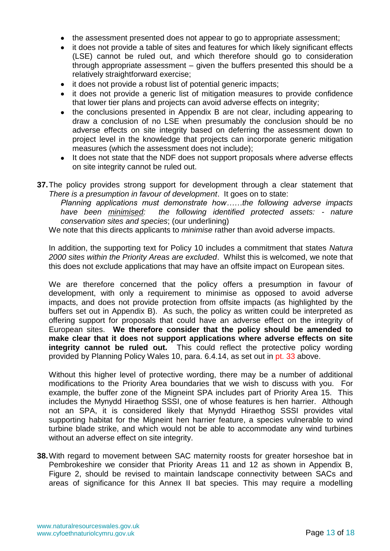- the assessment presented does not appear to go to appropriate assessment;
- it does not provide a table of sites and features for which likely significant effects (LSE) cannot be ruled out, and which therefore should go to consideration through appropriate assessment – given the buffers presented this should be a relatively straightforward exercise;
- it does not provide a robust list of potential generic impacts;
- it does not provide a generic list of mitigation measures to provide confidence that lower tier plans and projects can avoid adverse effects on integrity;
- the conclusions presented in Appendix B are not clear, including appearing to draw a conclusion of no LSE when presumably the conclusion should be no adverse effects on site integrity based on deferring the assessment down to project level in the knowledge that projects can incorporate generic mitigation measures (which the assessment does not include);
- It does not state that the NDF does not support proposals where adverse effects on site integrity cannot be ruled out.
- **37.**The policy provides strong support for development through a clear statement that *There is a presumption in favour of development*. It goes on to state:

*Planning applications must demonstrate how……the following adverse impacts have been minimised: the following identified protected assets: - nature conservation sites and species*; (our underlining)

We note that this directs applicants to *minimise* rather than avoid adverse impacts.

In addition, the supporting text for Policy 10 includes a commitment that states *Natura 2000 sites within the Priority Areas are excluded*. Whilst this is welcomed, we note that this does not exclude applications that may have an offsite impact on European sites.

We are therefore concerned that the policy offers a presumption in favour of development, with only a requirement to minimise as opposed to avoid adverse impacts, and does not provide protection from offsite impacts (as highlighted by the buffers set out in Appendix B). As such, the policy as written could be interpreted as offering support for proposals that could have an adverse effect on the integrity of European sites. **We therefore consider that the policy should be amended to make clear that it does not support applications where adverse effects on site integrity cannot be ruled out.** This could reflect the protective policy wording provided by Planning Policy Wales 10, para. 6.4.14, as set out in pt. 33 above.

Without this higher level of protective wording, there may be a number of additional modifications to the Priority Area boundaries that we wish to discuss with you. For example, the buffer zone of the Migneint SPA includes part of Priority Area 15. This includes the Mynydd Hiraethog SSSI, one of whose features is hen harrier. Although not an SPA, it is considered likely that Mynydd Hiraethog SSSI provides vital supporting habitat for the Migneint hen harrier feature, a species vulnerable to wind turbine blade strike, and which would not be able to accommodate any wind turbines without an adverse effect on site integrity.

**38.**With regard to movement between SAC maternity roosts for greater horseshoe bat in Pembrokeshire we consider that Priority Areas 11 and 12 as shown in Appendix B, Figure 2, should be revised to maintain landscape connectivity between SACs and areas of significance for this Annex II bat species. This may require a modelling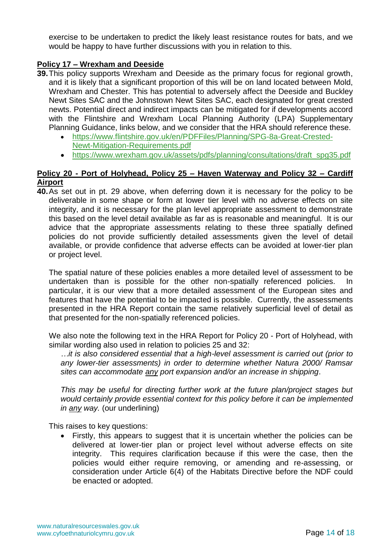exercise to be undertaken to predict the likely least resistance routes for bats, and we would be happy to have further discussions with you in relation to this.

## **Policy 17 – Wrexham and Deeside**

- **39.**This policy supports Wrexham and Deeside as the primary focus for regional growth, and it is likely that a significant proportion of this will be on land located between Mold, Wrexham and Chester. This has potential to adversely affect the Deeside and Buckley Newt Sites SAC and the Johnstown Newt Sites SAC, each designated for great crested newts. Potential direct and indirect impacts can be mitigated for if developments accord with the Flintshire and Wrexham Local Planning Authority (LPA) Supplementary Planning Guidance, links below, and we consider that the HRA should reference these.
	- [https://www.flintshire.gov.uk/en/PDFFiles/Planning/SPG-8a-Great-Crested-](https://www.flintshire.gov.uk/en/PDFFiles/Planning/SPG-8a-Great-Crested-Newt-Mitigation-Requirements.pdf)[Newt-Mitigation-Requirements.pdf](https://www.flintshire.gov.uk/en/PDFFiles/Planning/SPG-8a-Great-Crested-Newt-Mitigation-Requirements.pdf)
	- [https://www.wrexham.gov.uk/assets/pdfs/planning/consultations/draft\\_spg35.pdf](https://www.wrexham.gov.uk/assets/pdfs/planning/consultations/draft_spg35.pdf)

## **Policy 20 - Port of Holyhead, Policy 25 – Haven Waterway and Policy 32 – Cardiff Airport**

**40.**As set out in pt. 29 above, when deferring down it is necessary for the policy to be deliverable in some shape or form at lower tier level with no adverse effects on site integrity, and it is necessary for the plan level appropriate assessment to demonstrate this based on the level detail available as far as is reasonable and meaningful. It is our advice that the appropriate assessments relating to these three spatially defined policies do not provide sufficiently detailed assessments given the level of detail available, or provide confidence that adverse effects can be avoided at lower-tier plan or project level.

The spatial nature of these policies enables a more detailed level of assessment to be undertaken than is possible for the other non-spatially referenced policies. In particular, it is our view that a more detailed assessment of the European sites and features that have the potential to be impacted is possible. Currently, the assessments presented in the HRA Report contain the same relatively superficial level of detail as that presented for the non-spatially referenced policies.

We also note the following text in the HRA Report for Policy 20 - Port of Holyhead, with similar wording also used in relation to policies 25 and 32:

*…it is also considered essential that a high-level assessment is carried out (prior to any lower-tier assessments) in order to determine whether Natura 2000/ Ramsar sites can accommodate any port expansion and/or an increase in shipping*.

*This may be useful for directing further work at the future plan/project stages but would certainly provide essential context for this policy before it can be implemented in any way.* (our underlining)

This raises to key questions:

• Firstly, this appears to suggest that it is uncertain whether the policies can be delivered at lower-tier plan or project level without adverse effects on site integrity. This requires clarification because if this were the case, then the policies would either require removing, or amending and re-assessing, or consideration under Article 6(4) of the Habitats Directive before the NDF could be enacted or adopted.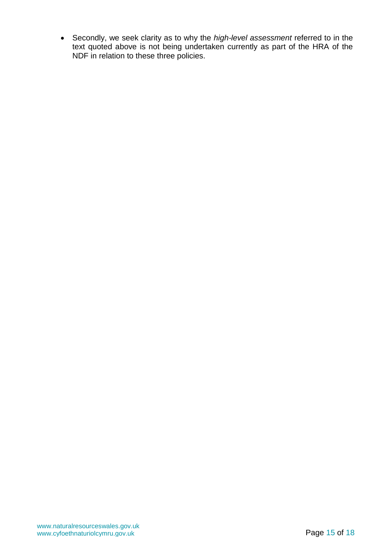• Secondly, we seek clarity as to why the *high-level assessment* referred to in the text quoted above is not being undertaken currently as part of the HRA of the NDF in relation to these three policies.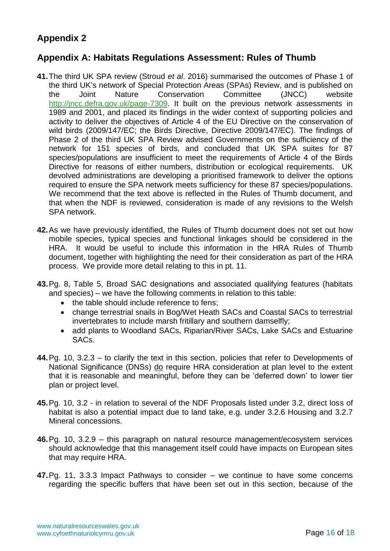# **Appendix 2**

## **Appendix A: Habitats Regulations Assessment: Rules of Thumb**

- **41.**The third UK SPA review (Stroud *et al*. 2016) summarised the outcomes of Phase 1 of the third UK's network of Special Protection Areas (SPAs) Review, and is published on the Joint Nature Conservation Committee (JNCC) website [http://jncc.defra.gov.uk/page-7309.](http://jncc.defra.gov.uk/page-7309) It built on the previous network assessments in 1989 and 2001, and placed its findings in the wider context of supporting policies and activity to deliver the objectives of Article 4 of the EU Directive on the conservation of wild birds (2009/147/EC; the Birds Directive, Directive 2009/147/EC). The findings of Phase 2 of the third UK SPA Review advised Governments on the sufficiency of the network for 151 species of birds, and concluded that UK SPA suites for 87 species/populations are insufficient to meet the requirements of Article 4 of the Birds Directive for reasons of either numbers, distribution or ecological requirements. UK devolved administrations are developing a prioritised framework to deliver the options required to ensure the SPA network meets sufficiency for these 87 species/populations. We recommend that the text above is reflected in the Rules of Thumb document, and that when the NDF is reviewed, consideration is made of any revisions to the Welsh SPA network.
- **42.**As we have previously identified, the Rules of Thumb document does not set out how mobile species, typical species and functional linkages should be considered in the HRA. It would be useful to include this information in the HRA Rules of Thumb document, together with highlighting the need for their consideration as part of the HRA process. We provide more detail relating to this in pt. 11.
- **43.**Pg. 8, Table 5, Broad SAC designations and associated qualifying features (habitats and species) – we have the following comments in relation to this table:
	- the table should include reference to fens;
	- change terrestrial snails in Bog/Wet Heath SACs and Coastal SACs to terrestrial invertebrates to include marsh fritillary and southern damselfly;
	- add plants to Woodland SACs, Riparian/River SACs, Lake SACs and Estuarine SACs.
- **44.**Pg. 10, 3.2.3 to clarify the text in this section, policies that refer to Developments of National Significance (DNSs) do require HRA consideration at plan level to the extent that it is reasonable and meaningful, before they can be 'deferred down' to lower tier plan or project level.
- **45.**Pg. 10, 3.2 in relation to several of the NDF Proposals listed under 3.2, direct loss of habitat is also a potential impact due to land take, e.g. under 3.2.6 Housing and 3.2.7 Mineral concessions.
- **46.**Pg. 10, 3.2.9 this paragraph on natural resource management/ecosystem services should acknowledge that this management itself could have impacts on European sites that may require HRA.
- **47.**Pg. 11, 3.3.3 Impact Pathways to consider we continue to have some concerns regarding the specific buffers that have been set out in this section, because of the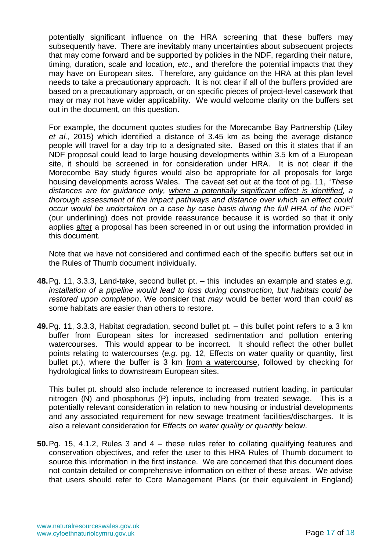potentially significant influence on the HRA screening that these buffers may subsequently have. There are inevitably many uncertainties about subsequent projects that may come forward and be supported by policies in the NDF, regarding their nature, timing, duration, scale and location, *etc*., and therefore the potential impacts that they may have on European sites. Therefore, any guidance on the HRA at this plan level needs to take a precautionary approach. It is not clear if all of the buffers provided are based on a precautionary approach, or on specific pieces of project-level casework that may or may not have wider applicability. We would welcome clarity on the buffers set out in the document, on this question.

For example, the document quotes studies for the Morecambe Bay Partnership (Liley *et al.*, 2015) which identified a distance of 3.45 km as being the average distance people will travel for a day trip to a designated site. Based on this it states that if an NDF proposal could lead to large housing developments within 3.5 km of a European site, it should be screened in for consideration under HRA. It is not clear if the Morecombe Bay study figures would also be appropriate for all proposals for large housing developments across Wales. The caveat set out at the foot of pg. 11, "*These distances are for guidance only, where a potentially significant effect is identified, a thorough assessment of the impact pathways and distance over which an effect could occur would be undertaken on a case by case basis during the full HRA of the NDF"* (our underlining) does not provide reassurance because it is worded so that it only applies after a proposal has been screened in or out using the information provided in this document.

Note that we have not considered and confirmed each of the specific buffers set out in the Rules of Thumb document individually.

- **48.**Pg. 11, 3.3.3, Land-take, second bullet pt. this includes an example and states *e.g. installation of a pipeline would lead to loss during construction, but habitats could be restored upon completion*. We consider that *may* would be better word than *could* as some habitats are easier than others to restore.
- **49.**Pg. 11, 3.3.3, Habitat degradation, second bullet pt. this bullet point refers to a 3 km buffer from European sites for increased sedimentation and pollution entering watercourses. This would appear to be incorrect. It should reflect the other bullet points relating to watercourses (*e.g.* pg. 12, Effects on water quality or quantity, first bullet pt.), where the buffer is 3 km from a watercourse, followed by checking for hydrological links to downstream European sites.

This bullet pt. should also include reference to increased nutrient loading, in particular nitrogen (N) and phosphorus (P) inputs, including from treated sewage. This is a potentially relevant consideration in relation to new housing or industrial developments and any associated requirement for new sewage treatment facilities/discharges. It is also a relevant consideration for *Effects on water quality or quantity* below.

**50.**Pg. 15, 4.1.2, Rules 3 and 4 – these rules refer to collating qualifying features and conservation objectives, and refer the user to this HRA Rules of Thumb document to source this information in the first instance. We are concerned that this document does not contain detailed or comprehensive information on either of these areas. We advise that users should refer to Core Management Plans (or their equivalent in England)